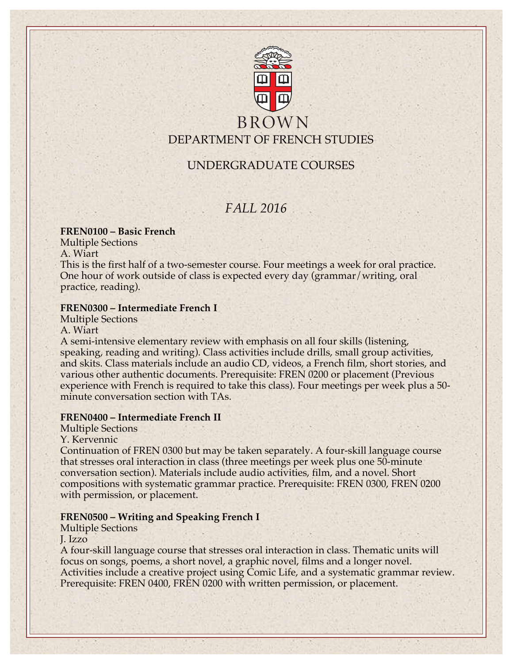

# **BROWN** DEPARTMENT OF FRENCH STUDIES

# UNDERGRADUATE COURSES

# *FALL 2016*

## **FREN0100 – Basic French**

Multiple Sections

A. Wiart

This is the first half of a two-semester course. Four meetings a week for oral practice. One hour of work outside of class is expected every day (grammar/writing, oral practice, reading).

## **FREN0300 – Intermediate French I**

Multiple Sections A. Wiart

A semi-intensive elementary review with emphasis on all four skills (listening, speaking, reading and writing). Class activities include drills, small group activities, and skits. Class materials include an audio CD, videos, a French film, short stories, and various other authentic documents. Prerequisite: FREN 0200 or placement (Previous experience with French is required to take this class). Four meetings per week plus a 50 minute conversation section with TAs.

## **FREN0400 – Intermediate French II**

Multiple Sections

Y. Kervennic

Continuation of FREN 0300 but may be taken separately. A four-skill language course that stresses oral interaction in class (three meetings per week plus one 50-minute conversation section). Materials include audio activities, film, and a novel. Short compositions with systematic grammar practice. Prerequisite: FREN 0300, FREN 0200 with permission, or placement.

## **FREN0500 – Writing and Speaking French I**

Multiple Sections

J. Izzo

A four-skill language course that stresses oral interaction in class. Thematic units will focus on songs, poems, a short novel, a graphic novel, films and a longer novel. Activities include a creative project using Comic Life, and a systematic grammar review. Prerequisite: FREN 0400, FREN 0200 with written permission, or placement.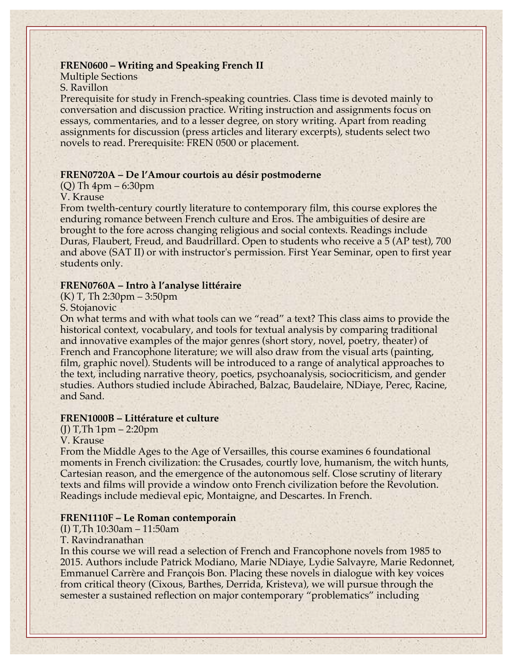### **FREN0600 – Writing and Speaking French II**

# Multiple Sections

S. Ravillon

Prerequisite for study in French-speaking countries. Class time is devoted mainly to conversation and discussion practice. Writing instruction and assignments focus on essays, commentaries, and to a lesser degree, on story writing. Apart from reading assignments for discussion (press articles and literary excerpts), students select two novels to read. Prerequisite: FREN 0500 or placement.

#### **FREN0720A – De l'Amour courtois au désir postmoderne**

### (Q) Th 4pm – 6:30pm

#### V. Krause

From twelth-century courtly literature to contemporary film, this course explores the enduring romance between French culture and Eros. The ambiguities of desire are brought to the fore across changing religious and social contexts. Readings include Duras, Flaubert, Freud, and Baudrillard. Open to students who receive a 5 (AP test), 700 and above (SAT II) or with instructor's permission. First Year Seminar, open to first year students only.

#### **FREN0760A – Intro à l'analyse littéraire**

(K) T, Th 2:30pm – 3:50pm

### S. Stojanovic

On what terms and with what tools can we "read" a text? This class aims to provide the historical context, vocabulary, and tools for textual analysis by comparing traditional and innovative examples of the major genres (short story, novel, poetry, theater) of French and Francophone literature; we will also draw from the visual arts (painting, film, graphic novel). Students will be introduced to a range of analytical approaches to the text, including narrative theory, poetics, psychoanalysis, sociocriticism, and gender studies. Authors studied include Abirached, Balzac, Baudelaire, NDiaye, Perec, Racine, and Sand.

#### **FREN1000B – Littérature et culture**

(J) T,Th 1pm – 2:20pm

#### V. Krause

From the Middle Ages to the Age of Versailles, this course examines 6 foundational moments in French civilization: the Crusades, courtly love, humanism, the witch hunts, Cartesian reason, and the emergence of the autonomous self. Close scrutiny of literary texts and films will provide a window onto French civilization before the Revolution. Readings include medieval epic, Montaigne, and Descartes. In French.

#### **FREN1110F – Le Roman contemporain**

(I) T,Th 10:30am – 11:50am

#### T. Ravindranathan

In this course we will read a selection of French and Francophone novels from 1985 to 2015. Authors include Patrick Modiano, Marie NDiaye, Lydie Salvayre, Marie Redonnet, Emmanuel Carrère and François Bon. Placing these novels in dialogue with key voices from critical theory (Cixous, Barthes, Derrida, Kristeva), we will pursue through the semester a sustained reflection on major contemporary "problematics" including